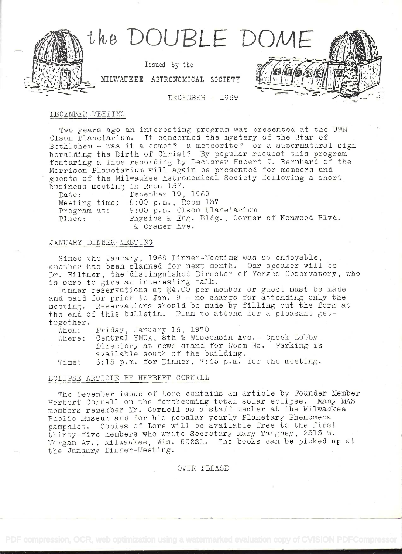

### DE CEMBER MEETING

Two years ago an interesting program was presented at the UWLI Olson Planetarium. It concerned the mystery of the Star of Bethlehem  $-$  was it a comet? a meteorite? or a supernatural sign heralding the Birth of Christ? By popular request this program featuring a fine recording by Lectarer Hubert J. Bernhard of the Morrison Flanetarium will again be presented for members and gaests of the Milwaukee Astronomical Society following a short bisiness meeting in Room L37.

| $\sim$ 11000 modeling the norm more |                                               |  |  |  |
|-------------------------------------|-----------------------------------------------|--|--|--|
| Date:                               | December 19, 1969                             |  |  |  |
|                                     | Meeting time: $8:00$ p.m., Room $137$         |  |  |  |
| Program at:                         | 9:00 p.m. Olson Planetarium                   |  |  |  |
| Place:                              | Physics & Eng. Bldg., Corner of Kenwood Blvd. |  |  |  |
|                                     | & Cramer Ave.                                 |  |  |  |

# JANUARY DINMER-MEET ING

Since the January, 1969 Dinner-Meeting was so enjoyable. another has been planned for next month. Oar speaker will be Dr. Hiltner, the distinguished Director of Yerkes Observatory, who is sure to give an interesting talk.

Dinner reservations at \$4.00 per member or guest must be made and paid for prior to Jan. 9 - no charge for attending only the meeting. Reservations should be made by filling out the form at the end of this bulletin. Plan to attend for a pleasant gettogether.

When: Friday, January 16, 1970

Where: Central YMCA, 8th & Wisconsin Ave.- Check Lobby Directory at news stand for Room No. Parking is available south of the building.

Time: 6:15 p.m. for Dinner, 7:45 p.m. for the meeting.

# ECLIPSE ARTICLE BY HERBERT CORNELL

The December issue of Lore contains an article by Founder Member Herbert Cornell on the forthcoming total solar eclipse. Many MAS members remember Mr. Cornell as a staff member at the Milwaukee Public Museum and for his popular yearly Planetary Phenomena pamphlet. Copies of Lore will be available free to the first thirty-five members who write Secretary Mary Tangney, 2313 W. Morgan Av. , Milwaukee, Wis. 53221. The books can be picked ap at the January Dinner-Meeting.

# OVER PLEASE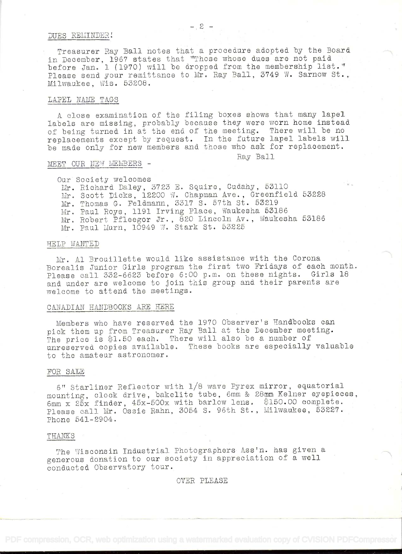#### DUES REMINDER!

Treasurer Ray Ball notes that a procedure adopted by the Board in December, 196? states that "Those whose dues are not paid before Jan. 1 (1970) will be dropped from the membership list." Please send your remittance to Mr. Ray Ball, 3749 W. Sarnow St., Milwaukee, Wis. 53208.

### LAPEL NAME TAGS

A close examination of the filing boxes shows that many lapel labels are missing, probably because they were worn home instead of being turned in at the end of the meeting. There will be no replacements except by request. In the future lapel labels will be made only for new members and those who ask for replacement.

Ray Ball

### MEET OUR NEW MEMBERS -

Our Society welcomes Mr. Richard Daley, 3723 E. Squire, Cudahy, 53110 Mr. Scott Dicke, 12200 W. Chapman Ave., Greenfield 63228 Mr. Thomas G. Peidmama, 331? S. 57th St. 53219 Mr. Paul Roys, 1191 Irving Place, Waukesha 53186 Mr. Robert Pfleegor Jr. , 820 Lincoln Av. , Waukesha 53186 Mr. Paul Liarn, 10949 W. Stark St. 53225

### HELP WANTED

Mr. Al Brouillette would like assistance with the Corona Borealis Junior Girls program the first two Fridays of each month. Please call  $332-6623$  before  $6:00$  p.m. on these nights. Girls 18 and under are welcome to join this group and their parents are welcome to attend the meetings.

# CANADIAN HANDBOOKS ARE HERE

Members who have reserved the 1970 Observer's Handbooks can pick them up from Treasurer Ray Ball at the December meeting. The price is \$1.50 each. There will also be a number of unreserved copies available. These books are especially valuable to the amateur astronomer.

#### FOR SALE

6" Starliner Reflector with 1/8 wave Pyrex mirror, equatorial mounting, clock drive, bakelite tube, 6mm & 28mm Kelner eyepieces,  $\frac{25x}{25x}$  finder,  $45x-500x$  with barlow lens. \$150.00 complete. Please call Mr. Ossie Rahn, 3054 S. 96th St. , Milwaukee, 53227. Phone 541-2904.

### THANKS

The Wisconsin Industrial Photographers Ass'n. has given <sup>a</sup> generous donation to our society in appreciation of a well conducted Observatory tour.